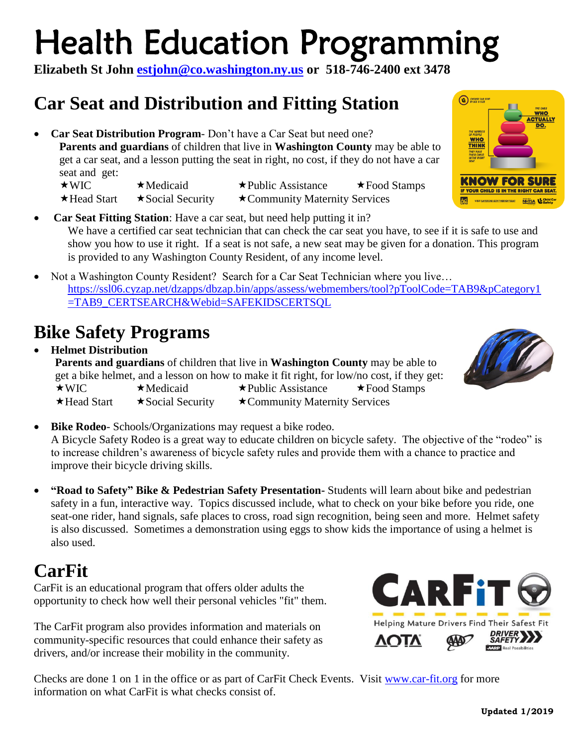# Health Education Programming

**Elizabeth St John [estjohn@co.washington.ny.us](mailto:estjohn@co.washington.ny.us) or 518-746-2400 ext 3478**

### **Car Seat and Distribution and Fitting Station**

 **Car Seat Distribution Program**- Don't have a Car Seat but need one? **Parents and guardians** of children that live in **Washington County** may be able to get a car seat, and a lesson putting the seat in right, no cost, if they do not have a car seat and get:

 $\star$  WIC  $\star$  Medicaid  $\star$  Public Assistance  $\star$  Food Stamps  $\star$  Head Start  $\star$  Social Security  $\star$  Community Maternity Services

- **Car Seat Fitting Station**: Have a car seat, but need help putting it in? We have a certified car seat technician that can check the car seat you have, to see if it is safe to use and show you how to use it right. If a seat is not safe, a new seat may be given for a donation. This program is provided to any Washington County Resident, of any income level.
- Not a Washington County Resident? Search for a Car Seat Technician where you live... [https://ssl06.cyzap.net/dzapps/dbzap.bin/apps/assess/webmembers/tool?pToolCode=TAB9&pCategory1](https://ssl06.cyzap.net/dzapps/dbzap.bin/apps/assess/webmembers/tool?pToolCode=TAB9&pCategory1=TAB9_CERTSEARCH&Webid=SAFEKIDSCERTSQL) [=TAB9\\_CERTSEARCH&Webid=SAFEKIDSCERTSQL](https://ssl06.cyzap.net/dzapps/dbzap.bin/apps/assess/webmembers/tool?pToolCode=TAB9&pCategory1=TAB9_CERTSEARCH&Webid=SAFEKIDSCERTSQL)

## **Bike Safety Programs**

 **Helmet Distribution Parents and guardians** of children that live in **Washington County** may be able to get a bike helmet, and a lesson on how to make it fit right, for low/no cost, if they get:  $\star$ WIC  $\star$ Medicaid  $\star$ Public Assistance  $\star$ Food Stamps  $\star$  Head Start  $\star$  Social Security  $\star$  Community Maternity Services

- **Bike Rodeo** Schools/Organizations may request a bike rodeo. A Bicycle Safety Rodeo is a great way to educate children on bicycle safety. The objective of the "rodeo" is to increase children's awareness of bicycle safety rules and provide them with a chance to practice and improve their bicycle driving skills.
- **"Road to Safety" Bike & Pedestrian Safety Presentation-** Students will learn about bike and pedestrian safety in a fun, interactive way. Topics discussed include, what to check on your bike before you ride, one seat-one rider, hand signals, safe places to cross, road sign recognition, being seen and more. Helmet safety is also discussed. Sometimes a demonstration using eggs to show kids the importance of using a helmet is also used.

### **CarFit**

CarFit is an educational program that offers older adults the opportunity to check how well their personal vehicles "fit" them.

The CarFit program also provides information and materials on community-specific resources that could enhance their safety as drivers, and/or increase their mobility in the community.

Checks are done 1 on 1 in the office or as part of CarFit Check Events. Visit [www.car-fit.org](http://www.car-fit.org/) for more information on what CarFit is what checks consist of.





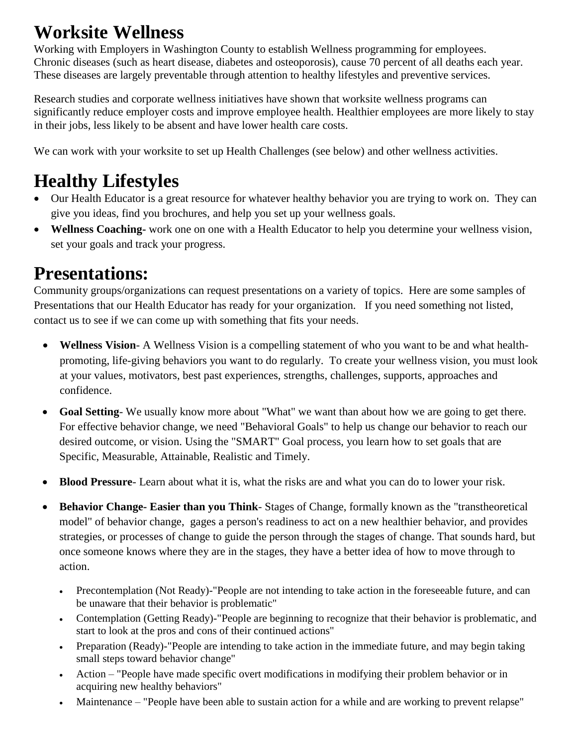### **Worksite Wellness**

Working with Employers in Washington County to establish Wellness programming for employees. Chronic diseases (such as heart disease, diabetes and osteoporosis), cause 70 percent of all deaths each year. These diseases are largely preventable through attention to healthy lifestyles and preventive services.

Research studies and corporate wellness initiatives have shown that worksite wellness programs can significantly reduce employer costs and improve employee health. Healthier employees are more likely to stay in their jobs, less likely to be absent and have lower health care costs.

We can work with your worksite to set up Health Challenges (see below) and other wellness activities.

## **Healthy Lifestyles**

- Our Health Educator is a great resource for whatever healthy behavior you are trying to work on. They can give you ideas, find you brochures, and help you set up your wellness goals.
- **Wellness Coaching-** work one on one with a Health Educator to help you determine your wellness vision, set your goals and track your progress.

### **Presentations:**

Community groups/organizations can request presentations on a variety of topics. Here are some samples of Presentations that our Health Educator has ready for your organization. If you need something not listed, contact us to see if we can come up with something that fits your needs.

- **Wellness Vision** A Wellness Vision is a compelling statement of who you want to be and what healthpromoting, life-giving behaviors you want to do regularly. To create your wellness vision, you must look at your values, motivators, best past experiences, strengths, challenges, supports, approaches and confidence.
- **Goal Setting** We usually know more about "What" we want than about how we are going to get there. For effective behavior change, we need "Behavioral Goals" to help us change our behavior to reach our desired outcome, or vision. Using the "SMART" Goal process, you learn how to set goals that are Specific, Measurable, Attainable, Realistic and Timely.
- **Blood Pressure** Learn about what it is, what the risks are and what you can do to lower your risk.
- **Behavior Change- Easier than you Think** Stages of Change, formally known as the "transtheoretical model" of behavior change, gages a person's readiness to act on a new healthier behavior, and provides strategies, or processes of change to guide the person through the stages of change. That sounds hard, but once someone knows where they are in the stages, they have a better idea of how to move through to action.
	- Precontemplation (Not Ready)-"People are not intending to take action in the foreseeable future, and can be unaware that their behavior is problematic"
	- Contemplation (Getting Ready)-"People are beginning to recognize that their behavior is problematic, and start to look at the pros and cons of their continued actions"
	- Preparation (Ready)-"People are intending to take action in the immediate future, and may begin taking small steps toward behavior change"
	- Action "People have made specific overt modifications in modifying their problem behavior or in acquiring new healthy behaviors"
	- Maintenance "People have been able to sustain action for a while and are working to prevent relapse"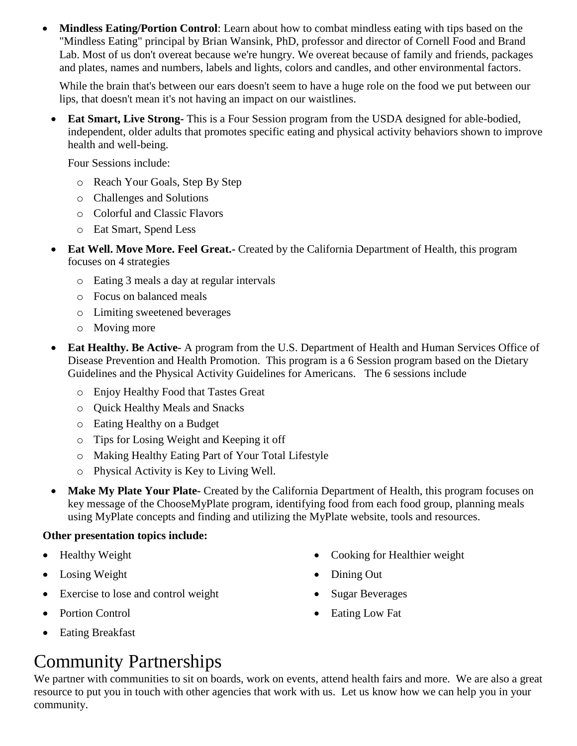**Mindless Eating/Portion Control:** Learn about how to combat mindless eating with tips based on the "Mindless Eating" principal by Brian Wansink, PhD, professor and director of Cornell Food and Brand Lab. Most of us don't overeat because we're hungry. We overeat because of family and friends, packages and plates, names and numbers, labels and lights, colors and candles, and other environmental factors.

While the brain that's between our ears doesn't seem to have a huge role on the food we put between our lips, that doesn't mean it's not having an impact on our waistlines.

 **Eat Smart, Live Strong-** This is a Four Session program from the USDA designed for able-bodied, independent, older adults that promotes specific eating and physical activity behaviors shown to improve health and well-being.

Four Sessions include:

- o Reach Your Goals, Step By Step
- o Challenges and Solutions
- o Colorful and Classic Flavors
- o Eat Smart, Spend Less
- **Eat Well. Move More. Feel Great.-** Created by the California Department of Health, this program focuses on 4 strategies
	- o Eating 3 meals a day at regular intervals
	- o Focus on balanced meals
	- o Limiting sweetened beverages
	- o Moving more
- **Eat Healthy. Be Active-** A program from the U.S. Department of Health and Human Services Office of Disease Prevention and Health Promotion. This program is a 6 Session program based on the Dietary Guidelines and the Physical Activity Guidelines for Americans. The 6 sessions include
	- o Enjoy Healthy Food that Tastes Great
	- o Quick Healthy Meals and Snacks
	- o Eating Healthy on a Budget
	- o Tips for Losing Weight and Keeping it off
	- o Making Healthy Eating Part of Your Total Lifestyle
	- o Physical Activity is Key to Living Well.
- **Make My Plate Your Plate-** Created by the California Department of Health, this program focuses on key message of the ChooseMyPlate program, identifying food from each food group, planning meals using MyPlate concepts and finding and utilizing the MyPlate website, tools and resources.

#### **Other presentation topics include:**

- Healthy Weight
- Losing Weight
- Exercise to lose and control weight
- Portion Control
- Eating Breakfast

### • Cooking for Healthier weight

- Dining Out
- Sugar Beverages
- Eating Low Fat

### Community Partnerships

We partner with communities to sit on boards, work on events, attend health fairs and more. We are also a great resource to put you in touch with other agencies that work with us. Let us know how we can help you in your community.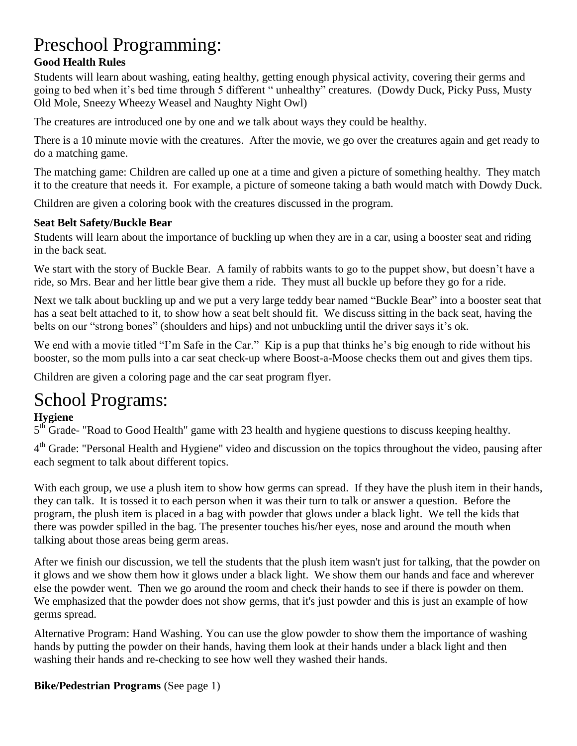### Preschool Programming:

#### **Good Health Rules**

Students will learn about washing, eating healthy, getting enough physical activity, covering their germs and going to bed when it's bed time through 5 different " unhealthy" creatures. (Dowdy Duck, Picky Puss, Musty Old Mole, Sneezy Wheezy Weasel and Naughty Night Owl)

The creatures are introduced one by one and we talk about ways they could be healthy.

There is a 10 minute movie with the creatures. After the movie, we go over the creatures again and get ready to do a matching game.

The matching game: Children are called up one at a time and given a picture of something healthy. They match it to the creature that needs it. For example, a picture of someone taking a bath would match with Dowdy Duck.

Children are given a coloring book with the creatures discussed in the program.

#### **Seat Belt Safety/Buckle Bear**

Students will learn about the importance of buckling up when they are in a car, using a booster seat and riding in the back seat.

We start with the story of Buckle Bear. A family of rabbits wants to go to the puppet show, but doesn't have a ride, so Mrs. Bear and her little bear give them a ride. They must all buckle up before they go for a ride.

Next we talk about buckling up and we put a very large teddy bear named "Buckle Bear" into a booster seat that has a seat belt attached to it, to show how a seat belt should fit. We discuss sitting in the back seat, having the belts on our "strong bones" (shoulders and hips) and not unbuckling until the driver says it's ok.

We end with a movie titled "I'm Safe in the Car." Kip is a pup that thinks he's big enough to ride without his booster, so the mom pulls into a car seat check-up where Boost-a-Moose checks them out and gives them tips.

Children are given a coloring page and the car seat program flyer.

### School Programs:

#### **Hygiene**

5<sup>th</sup> Grade- "Road to Good Health" game with 23 health and hygiene questions to discuss keeping healthy.

4<sup>th</sup> Grade: "Personal Health and Hygiene" video and discussion on the topics throughout the video, pausing after each segment to talk about different topics.

With each group, we use a plush item to show how germs can spread. If they have the plush item in their hands, they can talk. It is tossed it to each person when it was their turn to talk or answer a question. Before the program, the plush item is placed in a bag with powder that glows under a black light. We tell the kids that there was powder spilled in the bag. The presenter touches his/her eyes, nose and around the mouth when talking about those areas being germ areas.

After we finish our discussion, we tell the students that the plush item wasn't just for talking, that the powder on it glows and we show them how it glows under a black light. We show them our hands and face and wherever else the powder went. Then we go around the room and check their hands to see if there is powder on them. We emphasized that the powder does not show germs, that it's just powder and this is just an example of how germs spread.

Alternative Program: Hand Washing. You can use the glow powder to show them the importance of washing hands by putting the powder on their hands, having them look at their hands under a black light and then washing their hands and re-checking to see how well they washed their hands.

#### **Bike/Pedestrian Programs** (See page 1)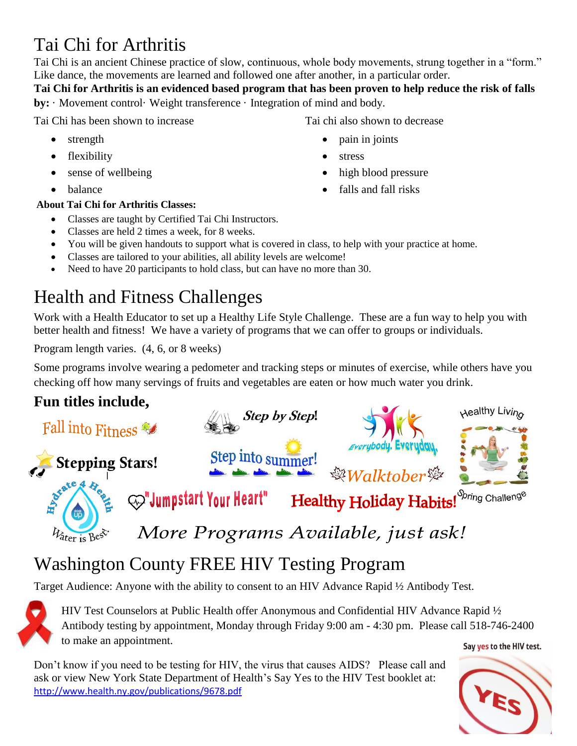### Tai Chi for Arthritis

Tai Chi is an ancient Chinese practice of slow, continuous, whole body movements, strung together in a "form." Like dance, the movements are learned and followed one after another, in a particular order.

**Tai Chi for Arthritis is an evidenced based program that has been proven to help reduce the risk of falls by:** · Movement control· Weight transference · Integration of mind and body.

Tai Chi has been shown to increase

- strength
- flexibility
- sense of wellbeing
- balance

#### **About Tai Chi for Arthritis Classes:**

- Classes are taught by Certified Tai Chi Instructors.
- Classes are held 2 times a week, for 8 weeks.
- You will be given handouts to support what is covered in class, to help with your practice at home.
- Classes are tailored to your abilities, all ability levels are welcome!
- Need to have 20 participants to hold class, but can have no more than 30.

## Health and Fitness Challenges

Work with a Health Educator to set up a Healthy Life Style Challenge. These are a fun way to help you with better health and fitness! We have a variety of programs that we can offer to groups or individuals.

Program length varies. (4, 6, or 8 weeks)

Some programs involve wearing a pedometer and tracking steps or minutes of exercise, while others have you checking off how many servings of fruits and vegetables are eaten or how much water you drink.

### **Fun titles include,**



# Washington County FREE HIV Testing Program

Target Audience: Anyone with the ability to consent to an HIV Advance Rapid ½ Antibody Test.

HIV Test Counselors at Public Health offer Anonymous and Confidential HIV Advance Rapid ½ Antibody testing by appointment, Monday through Friday 9:00 am - 4:30 pm. Please call 518-746-2400 to make an appointment.

Don't know if you need to be testing for HIV, the virus that causes AIDS? Please call and ask or view New York State Department of Health's Say Yes to the HIV Test booklet at: <http://www.health.ny.gov/publications/9678.pdf>

#### Say yes to the HIV test.



Tai chi also shown to decrease

- pain in joints
- stress
- high blood pressure
- falls and fall risks